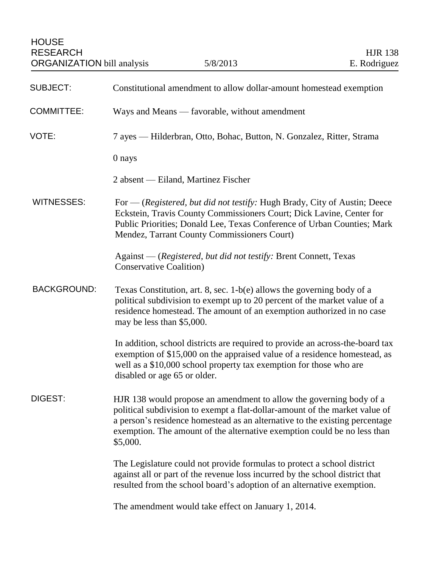| <b>SUBJECT:</b>    | Constitutional amendment to allow dollar-amount homestead exemption                                                                                                                                                                                                                                                       |
|--------------------|---------------------------------------------------------------------------------------------------------------------------------------------------------------------------------------------------------------------------------------------------------------------------------------------------------------------------|
| <b>COMMITTEE:</b>  | Ways and Means — favorable, without amendment                                                                                                                                                                                                                                                                             |
| VOTE:              | 7 ayes — Hilderbran, Otto, Bohac, Button, N. Gonzalez, Ritter, Strama                                                                                                                                                                                                                                                     |
|                    | 0 nays                                                                                                                                                                                                                                                                                                                    |
|                    | 2 absent — Eiland, Martinez Fischer                                                                                                                                                                                                                                                                                       |
| <b>WITNESSES:</b>  | For — (Registered, but did not testify: Hugh Brady, City of Austin; Deece<br>Eckstein, Travis County Commissioners Court; Dick Lavine, Center for<br>Public Priorities; Donald Lee, Texas Conference of Urban Counties; Mark<br>Mendez, Tarrant County Commissioners Court)                                               |
|                    | Against — (Registered, but did not testify: Brent Connett, Texas<br><b>Conservative Coalition</b> )                                                                                                                                                                                                                       |
| <b>BACKGROUND:</b> | Texas Constitution, art. 8, sec. $1-b(e)$ allows the governing body of a<br>political subdivision to exempt up to 20 percent of the market value of a<br>residence homestead. The amount of an exemption authorized in no case<br>may be less than \$5,000.                                                               |
|                    | In addition, school districts are required to provide an across-the-board tax<br>exemption of \$15,000 on the appraised value of a residence homestead, as<br>well as a \$10,000 school property tax exemption for those who are<br>disabled or age 65 or older.                                                          |
| DIGEST:            | HJR 138 would propose an amendment to allow the governing body of a<br>political subdivision to exempt a flat-dollar-amount of the market value of<br>a person's residence homestead as an alternative to the existing percentage<br>exemption. The amount of the alternative exemption could be no less than<br>\$5,000. |
|                    | The Legislature could not provide formulas to protect a school district<br>against all or part of the revenue loss incurred by the school district that<br>resulted from the school board's adoption of an alternative exemption.                                                                                         |
|                    | The amendment would take effect on January 1, 2014.                                                                                                                                                                                                                                                                       |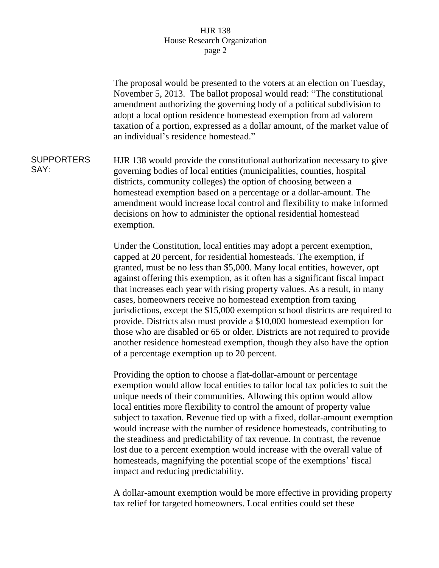## HJR 138 House Research Organization page 2

The proposal would be presented to the voters at an election on Tuesday, November 5, 2013. The ballot proposal would read: "The constitutional amendment authorizing the governing body of a political subdivision to adopt a local option residence homestead exemption from ad valorem taxation of a portion, expressed as a dollar amount, of the market value of an individual's residence homestead." **SUPPORTERS** SAY: HJR 138 would provide the constitutional authorization necessary to give governing bodies of local entities (municipalities, counties, hospital districts, community colleges) the option of choosing between a homestead exemption based on a percentage or a dollar-amount. The amendment would increase local control and flexibility to make informed decisions on how to administer the optional residential homestead exemption. Under the Constitution, local entities may adopt a percent exemption, capped at 20 percent, for residential homesteads. The exemption, if granted, must be no less than \$5,000. Many local entities, however, opt against offering this exemption, as it often has a significant fiscal impact that increases each year with rising property values. As a result, in many cases, homeowners receive no homestead exemption from taxing jurisdictions, except the \$15,000 exemption school districts are required to provide. Districts also must provide a \$10,000 homestead exemption for those who are disabled or 65 or older. Districts are not required to provide another residence homestead exemption, though they also have the option of a percentage exemption up to 20 percent. Providing the option to choose a flat-dollar-amount or percentage exemption would allow local entities to tailor local tax policies to suit the unique needs of their communities. Allowing this option would allow local entities more flexibility to control the amount of property value subject to taxation. Revenue tied up with a fixed, dollar-amount exemption would increase with the number of residence homesteads, contributing to the steadiness and predictability of tax revenue. In contrast, the revenue lost due to a percent exemption would increase with the overall value of homesteads, magnifying the potential scope of the exemptions' fiscal

impact and reducing predictability.

A dollar-amount exemption would be more effective in providing property tax relief for targeted homeowners. Local entities could set these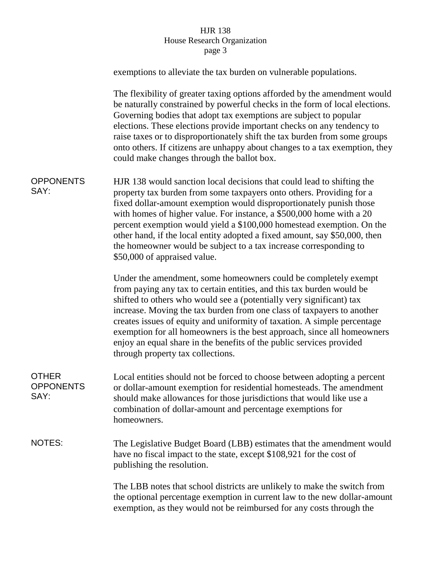## HJR 138 House Research Organization page 3

|                                          | exemptions to alleviate the tax burden on vulnerable populations.                                                                                                                                                                                                                                                                                                                                                                                                                                                                                              |
|------------------------------------------|----------------------------------------------------------------------------------------------------------------------------------------------------------------------------------------------------------------------------------------------------------------------------------------------------------------------------------------------------------------------------------------------------------------------------------------------------------------------------------------------------------------------------------------------------------------|
|                                          | The flexibility of greater taxing options afforded by the amendment would<br>be naturally constrained by powerful checks in the form of local elections.<br>Governing bodies that adopt tax exemptions are subject to popular<br>elections. These elections provide important checks on any tendency to<br>raise taxes or to disproportionately shift the tax burden from some groups<br>onto others. If citizens are unhappy about changes to a tax exemption, they<br>could make changes through the ballot box.                                             |
| <b>OPPONENTS</b><br>SAY:                 | HJR 138 would sanction local decisions that could lead to shifting the<br>property tax burden from some taxpayers onto others. Providing for a<br>fixed dollar-amount exemption would disproportionately punish those<br>with homes of higher value. For instance, a \$500,000 home with a 20<br>percent exemption would yield a \$100,000 homestead exemption. On the<br>other hand, if the local entity adopted a fixed amount, say \$50,000, then<br>the homeowner would be subject to a tax increase corresponding to<br>\$50,000 of appraised value.      |
|                                          | Under the amendment, some homeowners could be completely exempt<br>from paying any tax to certain entities, and this tax burden would be<br>shifted to others who would see a (potentially very significant) tax<br>increase. Moving the tax burden from one class of taxpayers to another<br>creates issues of equity and uniformity of taxation. A simple percentage<br>exemption for all homeowners is the best approach, since all homeowners<br>enjoy an equal share in the benefits of the public services provided<br>through property tax collections. |
| <b>OTHER</b><br><b>OPPONENTS</b><br>SAY: | Local entities should not be forced to choose between adopting a percent<br>or dollar-amount exemption for residential homesteads. The amendment<br>should make allowances for those jurisdictions that would like use a<br>combination of dollar-amount and percentage exemptions for<br>homeowners.                                                                                                                                                                                                                                                          |
| <b>NOTES:</b>                            | The Legislative Budget Board (LBB) estimates that the amendment would<br>have no fiscal impact to the state, except \$108,921 for the cost of<br>publishing the resolution.                                                                                                                                                                                                                                                                                                                                                                                    |
|                                          | The LBB notes that school districts are unlikely to make the switch from<br>the optional percentage exemption in current law to the new dollar-amount<br>exemption, as they would not be reimbursed for any costs through the                                                                                                                                                                                                                                                                                                                                  |